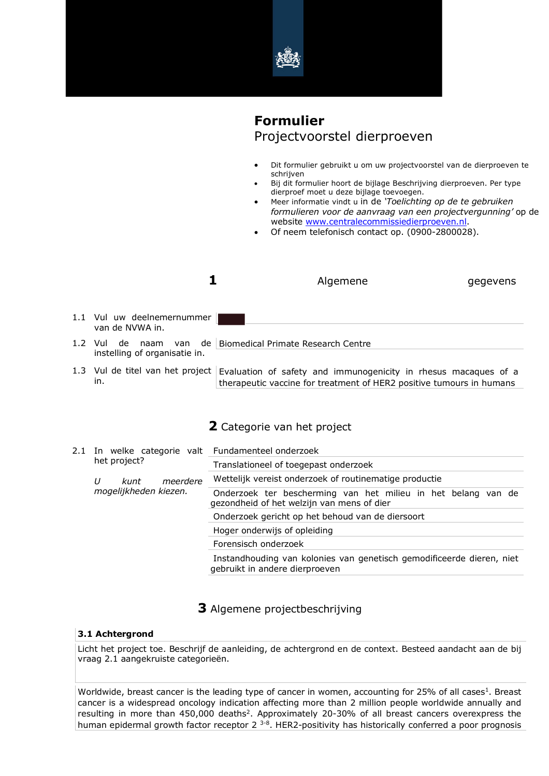

# **Formulier** Projectvoorstel dierproeven

- Dit formulier gebruikt u om uw projectvoorstel van de dierproeven te schrijven
	- Bij dit formulier hoort de bijlage Beschrijving dierproeven. Per type dierproef moet u deze bijlage toevoegen.
- Meer informatie vindt u in de *'Toelichting op de te gebruiken formulieren voor de aanvraag van een projectvergunning'* op de website www.centralecommissiedierproeven.nl.
- Of neem telefonisch contact op. (0900-2800028).

|                                                | Algemene<br>gegevens                                                                                                                    |
|------------------------------------------------|-----------------------------------------------------------------------------------------------------------------------------------------|
| 1.1 Vul uw deelnemernummer<br>van de NVWA in.  |                                                                                                                                         |
| 1.2 Vul<br>de<br>instelling of organisatie in. | naam van de Biomedical Primate Research Centre                                                                                          |
| 1.3 Vul de titel van het project<br>in.        | Evaluation of safety and immunogenicity in rhesus macaques of a<br>therapeutic vaccine for treatment of HER2 positive tumours in humans |

# **2** Categorie van het project

|  | 2.1 In welke categorie valt Fundamenteel onderzoek<br>het project? |                                                                                                             |
|--|--------------------------------------------------------------------|-------------------------------------------------------------------------------------------------------------|
|  |                                                                    | Translationeel of toegepast onderzoek                                                                       |
|  | IJ<br>meerdere<br>kunt<br>mogelijkheden kiezen.                    | Wettelijk vereist onderzoek of routinematige productie                                                      |
|  |                                                                    | Onderzoek ter bescherming van het milieu in het belang van de<br>gezondheid of het welzijn van mens of dier |
|  |                                                                    | Onderzoek gericht op het behoud van de diersoort                                                            |
|  |                                                                    | Hoger onderwijs of opleiding                                                                                |
|  |                                                                    | Forensisch onderzoek                                                                                        |
|  |                                                                    | Instandhouding van kolonies van genetisch gemodificeerde dieren, niet<br>gebruikt in andere dierproeven     |

# **3** Algemene projectbeschrijving

## **3.1 Achtergrond**

Licht het project toe. Beschrijf de aanleiding, de achtergrond en de context. Besteed aandacht aan de bij vraag 2.1 aangekruiste categorieën.

Worldwide, breast cancer is the leading type of cancer in women, accounting for 25% of all cases<sup>1</sup>. Breast cancer is a widespread oncology indication affecting more than 2 million people worldwide annually and resulting in more than 450,000 deaths<sup>2</sup>. Approximately 20-30% of all breast cancers overexpress the human epidermal growth factor receptor 2<sup>3-8</sup>. HER2-positivity has historically conferred a poor prognosis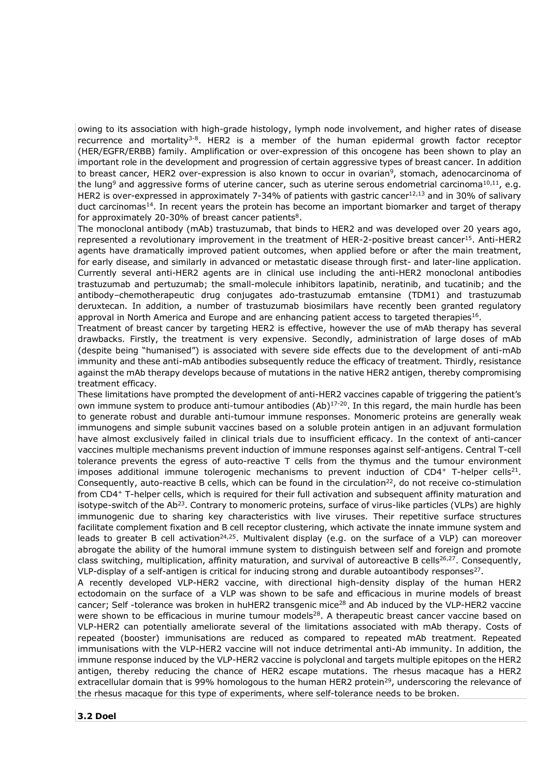owing to its association with high-grade histology, lymph node involvement, and higher rates of disease recurrence and mortality<sup>3-8</sup>. HER2 is a member of the human epidermal growth factor receptor (HER/EGFR/ERBB) family. Amplification or over-expression of this oncogene has been shown to play an important role in the development and progression of certain aggressive types of breast cancer. In addition to breast cancer, HER2 over-expression is also known to occur in ovarian<sup>9</sup>, stomach, adenocarcinoma of the lung<sup>9</sup> and aggressive forms of uterine cancer, such as uterine serous endometrial carcinoma<sup>10,11</sup>, e.g. HER2 is over-expressed in approximately 7-34% of patients with gastric cancer<sup>12,13</sup> and in 30% of salivary duct carcinomas<sup>14</sup>. In recent years the protein has become an important biomarker and target of therapy for approximately 20-30% of breast cancer patients<sup>8</sup>.

The monoclonal antibody (mAb) trastuzumab, that binds to HER2 and was developed over 20 years ago, represented a revolutionary improvement in the treatment of HER-2-positive breast cancer<sup>15</sup>. Anti-HER2 agents have dramatically improved patient outcomes, when applied before or after the main treatment, for early disease, and similarly in advanced or metastatic disease through first- and later-line application. Currently several anti-HER2 agents are in clinical use including the anti-HER2 monoclonal antibodies trastuzumab and pertuzumab; the small-molecule inhibitors lapatinib, neratinib, and tucatinib; and the antibody–chemotherapeutic drug conjugates ado-trastuzumab emtansine (TDM1) and trastuzumab deruxtecan. In addition, a number of trastuzumab biosimilars have recently been granted regulatory approval in North America and Europe and are enhancing patient access to targeted therapies<sup>16</sup>.

Treatment of breast cancer by targeting HER2 is effective, however the use of mAb therapy has several drawbacks. Firstly, the treatment is very expensive. Secondly, administration of large doses of mAb (despite being "humanised") is associated with severe side effects due to the development of anti-mAb immunity and these anti-mAb antibodies subsequently reduce the efficacy of treatment. Thirdly, resistance against the mAb therapy develops because of mutations in the native HER2 antigen, thereby compromising treatment efficacy.

These limitations have prompted the development of anti-HER2 vaccines capable of triggering the patient's own immune system to produce anti-tumour antibodies  $(Ab)^{17-20}$ . In this regard, the main hurdle has been to generate robust and durable anti-tumour immune responses. Monomeric proteins are generally weak immunogens and simple subunit vaccines based on a soluble protein antigen in an adjuvant formulation have almost exclusively failed in clinical trials due to insufficient efficacy. In the context of anti-cancer vaccines multiple mechanisms prevent induction of immune responses against self-antigens. Central T-cell tolerance prevents the egress of auto-reactive T cells from the thymus and the tumour environment imposes additional immune tolerogenic mechanisms to prevent induction of CD4+ T-helper cells<sup>21</sup>. Consequently, auto-reactive B cells, which can be found in the circulation<sup>22</sup>, do not receive co-stimulation from CD4+ T-helper cells, which is required for their full activation and subsequent affinity maturation and isotype-switch of the Ab<sup>23</sup>. Contrary to monomeric proteins, surface of virus-like particles (VLPs) are highly immunogenic due to sharing key characteristics with live viruses. Their repetitive surface structures facilitate complement fixation and B cell receptor clustering, which activate the innate immune system and leads to greater B cell activation<sup>24,25</sup>. Multivalent display (e.g. on the surface of a VLP) can moreover abrogate the ability of the humoral immune system to distinguish between self and foreign and promote class switching, multiplication, affinity maturation, and survival of autoreactive B cells<sup>26,27</sup>. Consequently, VLP-display of a self-antigen is critical for inducing strong and durable autoantibody responses<sup>27</sup>.

A recently developed VLP-HER2 vaccine, with directional high-density display of the human HER2 ectodomain on the surface of a VLP was shown to be safe and efficacious in murine models of breast cancer; Self -tolerance was broken in huHER2 transgenic mice<sup>28</sup> and Ab induced by the VLP-HER2 vaccine were shown to be efficacious in murine tumour models<sup>28</sup>. A therapeutic breast cancer vaccine based on VLP-HER2 can potentially ameliorate several of the limitations associated with mAb therapy. Costs of repeated (booster) immunisations are reduced as compared to repeated mAb treatment. Repeated immunisations with the VLP-HER2 vaccine will not induce detrimental anti-Ab immunity. In addition, the immune response induced by the VLP-HER2 vaccine is polyclonal and targets multiple epitopes on the HER2 antigen, thereby reducing the chance of HER2 escape mutations. The rhesus macaque has a HER2 extracellular domain that is 99% homologous to the human HER2 protein<sup>29</sup>, underscoring the relevance of the rhesus macaque for this type of experiments, where self-tolerance needs to be broken.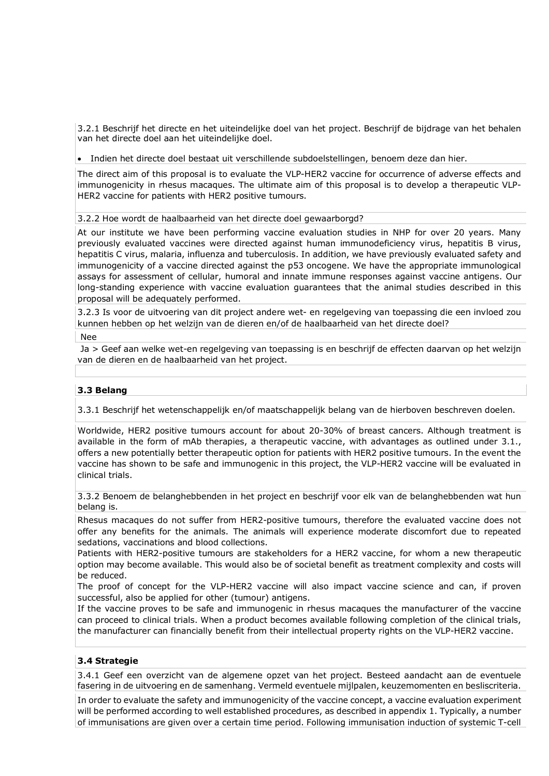3.2.1 Beschrijf het directe en het uiteindelijke doel van het project. Beschrijf de bijdrage van het behalen van het directe doel aan het uiteindelijke doel.

• Indien het directe doel bestaat uit verschillende subdoelstellingen, benoem deze dan hier.

The direct aim of this proposal is to evaluate the VLP-HER2 vaccine for occurrence of adverse effects and immunogenicity in rhesus macaques. The ultimate aim of this proposal is to develop a therapeutic VLP-HER2 vaccine for patients with HER2 positive tumours.

3.2.2 Hoe wordt de haalbaarheid van het directe doel gewaarborgd?

At our institute we have been performing vaccine evaluation studies in NHP for over 20 years. Many previously evaluated vaccines were directed against human immunodeficiency virus, hepatitis B virus, hepatitis C virus, malaria, influenza and tuberculosis. In addition, we have previously evaluated safety and immunogenicity of a vaccine directed against the p53 oncogene. We have the appropriate immunological assays for assessment of cellular, humoral and innate immune responses against vaccine antigens. Our long-standing experience with vaccine evaluation guarantees that the animal studies described in this proposal will be adequately performed.

3.2.3 Is voor de uitvoering van dit project andere wet- en regelgeving van toepassing die een invloed zou kunnen hebben op het welzijn van de dieren en/of de haalbaarheid van het directe doel?

Nee

Ja > Geef aan welke wet-en regelgeving van toepassing is en beschrijf de effecten daarvan op het welzijn van de dieren en de haalbaarheid van het project.

## **3.3 Belang**

3.3.1 Beschrijf het wetenschappelijk en/of maatschappelijk belang van de hierboven beschreven doelen.

Worldwide, HER2 positive tumours account for about 20-30% of breast cancers. Although treatment is available in the form of mAb therapies, a therapeutic vaccine, with advantages as outlined under 3.1., offers a new potentially better therapeutic option for patients with HER2 positive tumours. In the event the vaccine has shown to be safe and immunogenic in this project, the VLP-HER2 vaccine will be evaluated in clinical trials.

3.3.2 Benoem de belanghebbenden in het project en beschrijf voor elk van de belanghebbenden wat hun belang is.

Rhesus macaques do not suffer from HER2-positive tumours, therefore the evaluated vaccine does not offer any benefits for the animals. The animals will experience moderate discomfort due to repeated sedations, vaccinations and blood collections.

Patients with HER2-positive tumours are stakeholders for a HER2 vaccine, for whom a new therapeutic option may become available. This would also be of societal benefit as treatment complexity and costs will be reduced.

The proof of concept for the VLP-HER2 vaccine will also impact vaccine science and can, if proven successful, also be applied for other (tumour) antigens.

If the vaccine proves to be safe and immunogenic in rhesus macaques the manufacturer of the vaccine can proceed to clinical trials. When a product becomes available following completion of the clinical trials, the manufacturer can financially benefit from their intellectual property rights on the VLP-HER2 vaccine.

## **3.4 Strategie**

3.4.1 Geef een overzicht van de algemene opzet van het project. Besteed aandacht aan de eventuele fasering in de uitvoering en de samenhang. Vermeld eventuele mijlpalen, keuzemomenten en besliscriteria.

In order to evaluate the safety and immunogenicity of the vaccine concept, a vaccine evaluation experiment will be performed according to well established procedures, as described in appendix 1. Typically, a number of immunisations are given over a certain time period. Following immunisation induction of systemic T-cell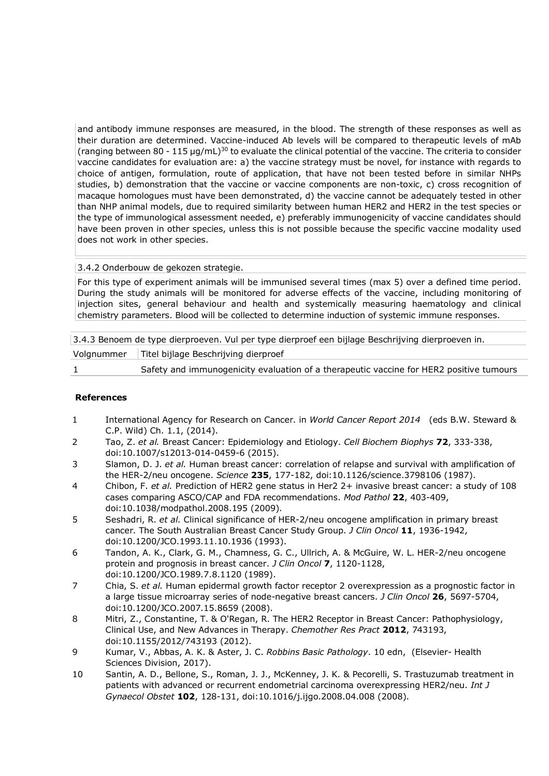and antibody immune responses are measured, in the blood. The strength of these responses as well as their duration are determined. Vaccine-induced Ab levels will be compared to therapeutic levels of mAb (ranging between 80 - 115 µg/mL)30 to evaluate the clinical potential of the vaccine. The criteria to consider vaccine candidates for evaluation are: a) the vaccine strategy must be novel, for instance with regards to choice of antigen, formulation, route of application, that have not been tested before in similar NHPs studies, b) demonstration that the vaccine or vaccine components are non-toxic, c) cross recognition of macaque homologues must have been demonstrated, d) the vaccine cannot be adequately tested in other than NHP animal models, due to required similarity between human HER2 and HER2 in the test species or the type of immunological assessment needed, e) preferably immunogenicity of vaccine candidates should have been proven in other species, unless this is not possible because the specific vaccine modality used does not work in other species.

## 3.4.2 Onderbouw de gekozen strategie.

For this type of experiment animals will be immunised several times (max 5) over a defined time period. During the study animals will be monitored for adverse effects of the vaccine, including monitoring of injection sites, general behaviour and health and systemically measuring haematology and clinical chemistry parameters. Blood will be collected to determine induction of systemic immune responses.

| 3.4.3 Benoem de type dierproeven. Vul per type dierproef een bijlage Beschrijving dierproeven in. |                                                                                         |  |  |
|---------------------------------------------------------------------------------------------------|-----------------------------------------------------------------------------------------|--|--|
| Volanummer                                                                                        | Titel bijlage Beschrijving dierproef                                                    |  |  |
|                                                                                                   | Safety and immunogenicity evaluation of a therapeutic vaccine for HER2 positive tumours |  |  |
|                                                                                                   |                                                                                         |  |  |

#### **References**

- 1 International Agency for Research on Cancer. in *World Cancer Report 2014* (eds B.W. Steward & C.P. Wild) Ch. 1.1, (2014).
- 2 Tao, Z. *et al.* Breast Cancer: Epidemiology and Etiology. *Cell Biochem Biophys* **72**, 333-338, doi:10.1007/s12013-014-0459-6 (2015).
- 3 Slamon, D. J. *et al.* Human breast cancer: correlation of relapse and survival with amplification of the HER-2/neu oncogene. *Science* **235**, 177-182, doi:10.1126/science.3798106 (1987).
- 4 Chibon, F. *et al.* Prediction of HER2 gene status in Her2 2+ invasive breast cancer: a study of 108 cases comparing ASCO/CAP and FDA recommendations. *Mod Pathol* **22**, 403-409, doi:10.1038/modpathol.2008.195 (2009).
- 5 Seshadri, R. *et al.* Clinical significance of HER-2/neu oncogene amplification in primary breast cancer. The South Australian Breast Cancer Study Group. *J Clin Oncol* **11**, 1936-1942, doi:10.1200/JCO.1993.11.10.1936 (1993).
- 6 Tandon, A. K., Clark, G. M., Chamness, G. C., Ullrich, A. & McGuire, W. L. HER-2/neu oncogene protein and prognosis in breast cancer. *J Clin Oncol* **7**, 1120-1128, doi:10.1200/JCO.1989.7.8.1120 (1989).
- 7 Chia, S. *et al.* Human epidermal growth factor receptor 2 overexpression as a prognostic factor in a large tissue microarray series of node-negative breast cancers. *J Clin Oncol* **26**, 5697-5704, doi:10.1200/JCO.2007.15.8659 (2008).
- 8 Mitri, Z., Constantine, T. & O'Regan, R. The HER2 Receptor in Breast Cancer: Pathophysiology, Clinical Use, and New Advances in Therapy. *Chemother Res Pract* **2012**, 743193, doi:10.1155/2012/743193 (2012).
- 9 Kumar, V., Abbas, A. K. & Aster, J. C. *Robbins Basic Pathology*. 10 edn, (Elsevier- Health Sciences Division, 2017).
- 10 Santin, A. D., Bellone, S., Roman, J. J., McKenney, J. K. & Pecorelli, S. Trastuzumab treatment in patients with advanced or recurrent endometrial carcinoma overexpressing HER2/neu. *Int J Gynaecol Obstet* **102**, 128-131, doi:10.1016/j.ijgo.2008.04.008 (2008).